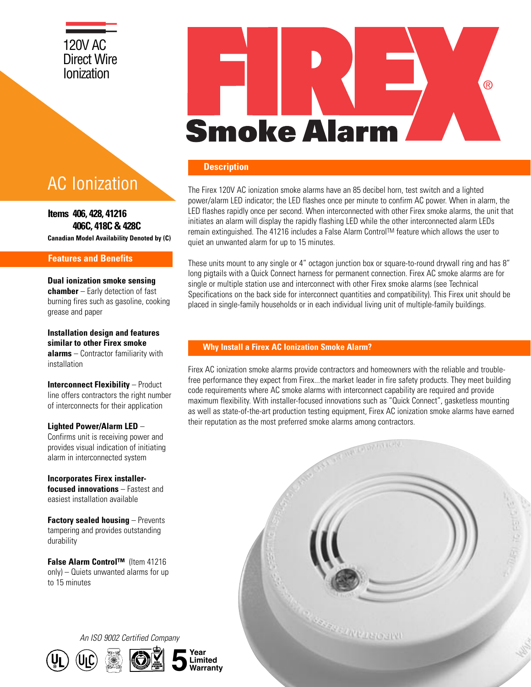# 120V AC Direct Wire Ionization

# AC Ionization

**Canadian Model Availability Denoted by (C) Items 406, 428, 41216 406C, 418C & 428C**

#### **Features and Benefits**

**Dual ionization smoke sensing chamber** – Early detection of fast burning fires such as gasoline, cooking grease and paper

**Installation design and features similar to other Firex smoke alarms** – Contractor familiarity with installation

**Interconnect Flexibility – Product** line offers contractors the right number of interconnects for their application

**Lighted Power/Alarm LED** –

Confirms unit is receiving power and provides visual indication of initiating alarm in interconnected system

**Incorporates Firex installerfocused innovations** – Fastest and easiest installation available

**Factory sealed housing** – Prevents tampering and provides outstanding durability

**False Alarm Control™** (Item 41216 only) – Quiets unwanted alarms for up to 15 minutes

# ® **Smoke Alarm**

#### **Description**

The Firex 120V AC ionization smoke alarms have an 85 decibel horn, test switch and a lighted power/alarm LED indicator; the LED flashes once per minute to confirm AC power. When in alarm, the LED flashes rapidly once per second. When interconnected with other Firex smoke alarms, the unit that initiates an alarm will display the rapidly flashing LED while the other interconnected alarm LEDs remain extinguished. The 41216 includes a False Alarm ControlTM feature which allows the user to quiet an unwanted alarm for up to 15 minutes.

These units mount to any single or 4" octagon junction box or square-to-round drywall ring and has 8" long pigtails with a Quick Connect harness for permanent connection. Firex AC smoke alarms are for single or multiple station use and interconnect with other Firex smoke alarms (see Technical Specifications on the back side for interconnect quantities and compatibility). This Firex unit should be placed in single-family households or in each individual living unit of multiple-family buildings.

#### **Why Install a Firex AC Ionization Smoke Alarm?**

Firex AC ionization smoke alarms provide contractors and homeowners with the reliable and troublefree performance they expect from Firex...the market leader in fire safety products. They meet building code requirements where AC smoke alarms with interconnect capability are required and provide maximum flexibility. With installer-focused innovations such as "Quick Connect", gasketless mounting as well as state-of-the-art production testing equipment, Firex AC ionization smoke alarms have earned their reputation as the most preferred smoke alarms among contractors.



*An ISO 9002 Certified Company*